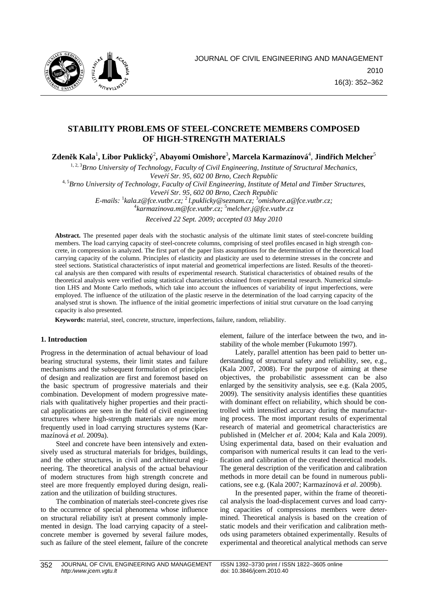

# **STABILITY PROBLEMS OF STEEL-CONCRETE MEMBERS COMPOSED OF HIGH-STRENGTH MATERIALS**

 $\bf{Z}$ deněk Kala<sup>1</sup>, Libor Puklický $^2$ , Abayomi Omishore $^3$ , Marcela Karmazínová $^4$ , Jindřich Melcher $^5$ 

<sup>1, 2, 3</sup>Brno University of Technology, Faculty of Civil Engineering, Institute of Structural Mechanics, *Veveří Str. 95, 602 00 Brno, Czech Republic* 

4, 5*Brno University of Technology, Faculty of Civil Engineering, Institute of Metal and Timber Structures,* 

*E-mails:* <sup>1</sup> *kala.z@fce.vutbr.cz;* <sup>2</sup>*l.puklicky@seznam.cz;* <sup>3</sup> *omishore.a@fce.vutbr.cz;* <sup>4</sup> *karmazinova.m@fce.vutbr.cz;* <sup>5</sup> *melcher.j@fce.vutbr.cz* 

*Received 22 Sept. 2009; accepted 03 May 2010* 

**Abstract.** The presented paper deals with the stochastic analysis of the ultimate limit states of steel-concrete building members. The load carrying capacity of steel-concrete columns, comprising of steel profiles encased in high strength concrete, in compression is analyzed. The first part of the paper lists assumptions for the determination of the theoretical load carrying capacity of the column. Principles of elasticity and plasticity are used to determine stresses in the concrete and steel sections. Statistical characteristics of input material and geometrical imperfections are listed. Results of the theoretical analysis are then compared with results of experimental research. Statistical characteristics of obtained results of the theoretical analysis were verified using statistical characteristics obtained from experimental research. Numerical simulation LHS and Monte Carlo methods, which take into account the influences of variability of input imperfections, were employed. The influence of the utilization of the plastic reserve in the determination of the load carrying capacity of the analysed strut is shown. The influence of the initial geometric imperfections of initial strut curvature on the load carrying capacity is also presented.

**Keywords:** material, steel, concrete, structure, imperfections, failure, random, reliability.

# **1. Introduction**

Progress in the determination of actual behaviour of load bearing structural systems, their limit states and failure mechanisms and the subsequent formulation of principles of design and realization are first and foremost based on the basic spectrum of progressive materials and their combination. Development of modern progressive materials with qualitatively higher properties and their practical applications are seen in the field of civil engineering structures where high-strength materials are now more frequently used in load carrying structures systems (Karmazínová *et al*. 2009a).

Steel and concrete have been intensively and extensively used as structural materials for bridges, buildings, and the other structures, in civil and architectural engineering. The theoretical analysis of the actual behaviour of modern structures from high strength concrete and steel are more frequently employed during design, realization and the utilization of building structures.

The combination of materials steel-concrete gives rise to the occurrence of special phenomena whose influence on structural reliability isn't at present commonly implemented in design. The load carrying capacity of a steelconcrete member is governed by several failure modes, such as failure of the steel element, failure of the concrete

element, failure of the interface between the two, and instability of the whole member (Fukumoto 1997).

Lately, parallel attention has been paid to better understanding of structural safety and reliability, see, e.g., (Kala 2007, 2008). For the purpose of aiming at these objectives, the probabilistic assessment can be also enlarged by the sensitivity analysis, see e.g. (Kala 2005, 2009). The sensitivity analysis identifies these quantities with dominant effect on reliability, which should be controlled with intensified accuracy during the manufacturing process. The most important results of experimental research of material and geometrical characteristics are published in (Melcher *et al*. 2004; Kala and Kala 2009). Using experimental data, based on their evaluation and comparison with numerical results it can lead to the verification and calibration of the created theoretical models. The general description of the verification and calibration methods in more detail can be found in numerous publications, see e.g. (Kala 2007; Karmazínová *et al*. 2009b).

In the presented paper, within the frame of theoretical analysis the load-displacement curves and load carrying capacities of compressions members were determined. Theoretical analysis is based on the creation of static models and their verification and calibration methods using parameters obtained experimentally. Results of experimental and theoretical analytical methods can serve

*Veveří Str. 95, 602 00 Brno, Czech Republic*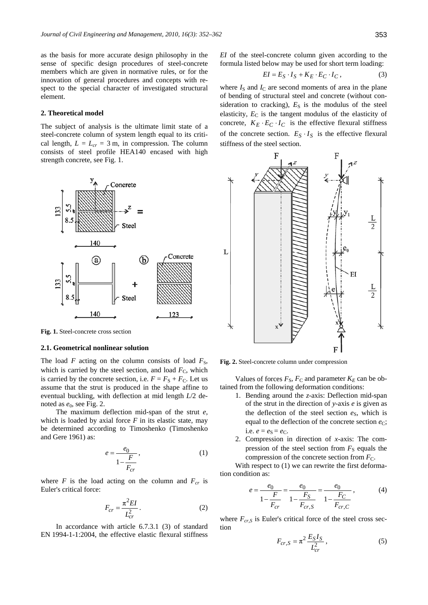as the basis for more accurate design philosophy in the sense of specific design procedures of steel-concrete members which are given in normative rules, or for the innovation of general procedures and concepts with respect to the special character of investigated structural element.

# **2. Theoretical model**

The subject of analysis is the ultimate limit state of a steel-concrete column of system length equal to its critical length,  $L = L_{cr} = 3$  m, in compression. The column consists of steel profile HEA140 encased with high strength concrete, see Fig. 1.



**Fig. 1.** Steel-concrete cross section

#### **2.1. Geometrical nonlinear solution**

The load  $F$  acting on the column consists of load  $F<sub>S</sub>$ , which is carried by the steel section, and load  $F<sub>C</sub>$ , which is carried by the concrete section, i.e.  $F = F_S + F_C$ . Let us assume that the strut is produced in the shape affine to eventual buckling, with deflection at mid length *L*/2 denoted as  $e_0$ , see Fig. 2.

The maximum deflection mid-span of the strut *e*, which is loaded by axial force  $F$  in its elastic state, may be determined according to Timoshenko (Timoshenko and Gere 1961) as:

$$
e = \frac{e_0}{1 - \frac{F}{F_{cr}}},\tag{1}
$$

where  $F$  is the load acting on the column and  $F_{cr}$  is Euler's critical force:

$$
F_{cr} = \frac{\pi^2 EI}{L_{cr}^2} \,. \tag{2}
$$

In accordance with article 6.7.3.1 (3) of standard EN 1994-1-1:2004, the effective elastic flexural stiffness *EI* of the steel-concrete column given according to the formula listed below may be used for short term loading:

$$
EI = E_S \cdot I_S + K_E \cdot E_C \cdot I_C, \qquad (3)
$$

where  $I<sub>S</sub>$  and  $I<sub>C</sub>$  are second moments of area in the plane of bending of structural steel and concrete (without consideration to cracking),  $E<sub>S</sub>$  is the modulus of the steel elasticity,  $E_C$  is the tangent modulus of the elasticity of concrete,  $K_E \cdot E_C \cdot I_C$  is the effective flexural stiffness of the concrete section.  $E_S \cdot I_S$  is the effective flexural stiffness of the steel section.



**Fig. 2.** Steel-concrete column under compression

Values of forces  $F_S$ ,  $F_C$  and parameter  $K_E$  can be obtained from the following deformation conditions:

- 1. Bending around the *z*-axis: Deflection mid-span of the strut in the direction of *y*-axis *e* is given as the deflection of the steel section  $e_S$ , which is equal to the deflection of the concrete section  $e<sub>C</sub>$ ; i.e.  $e = e_S = e_C$ .
	- 2. Compression in direction of *x*-axis: The compression of the steel section from  $F<sub>S</sub>$  equals the compression of the concrete section from  $F<sub>C</sub>$ .

With respect to  $(1)$  we can rewrite the first deformation condition as:

$$
e = \frac{e_0}{1 - \frac{F}{F_{cr}}} = \frac{e_0}{1 - \frac{F_S}{F_{cr,S}}} = \frac{e_0}{1 - \frac{F_C}{F_{cr,C}}},
$$
(4)

where  $F_{cr,S}$  is Euler's critical force of the steel cross section

$$
F_{cr,S} = \pi^2 \frac{E_S I_S}{L_{cr}^2},
$$
 (5)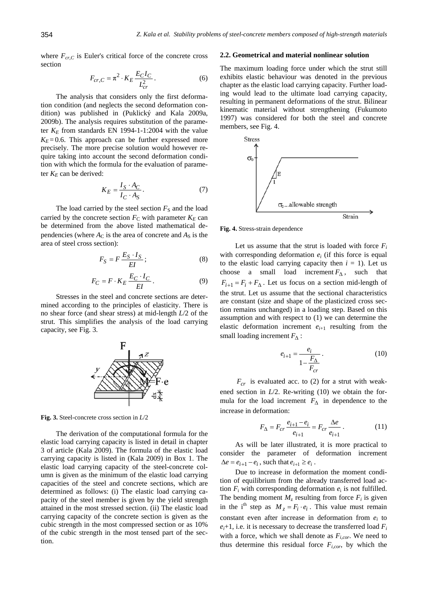where  $F_{cr,C}$  is Euler's critical force of the concrete cross section

$$
F_{cr,C} = \pi^2 \cdot K_E \frac{E_C I_C}{L_{cr}^2}.
$$
 (6)

The analysis that considers only the first deformation condition (and neglects the second deformation condition) was published in (Puklický and Kala 2009a, 2009b). The analysis requires substitution of the parameter  $K_E$  from standards EN 1994-1-1:2004 with the value  $K_E$  = 0.6. This approach can be further expressed more precisely. The more precise solution would however require taking into account the second deformation condition with which the formula for the evaluation of parameter  $K_E$  can be derived:

$$
K_E = \frac{I_S \cdot A_C}{I_C \cdot A_S} \,. \tag{7}
$$

The load carried by the steel section  $F<sub>S</sub>$  and the load carried by the concrete section  $F_C$  with parameter  $K_E$  can be determined from the above listed mathematical dependencies (where  $A_C$  is the area of concrete and  $A_S$  is the area of steel cross section):

$$
F_S = F \frac{E_S \cdot I_S}{EI} ; \t\t(8)
$$

$$
F_C = F \cdot K_E \frac{E_C \cdot I_C}{EI}.
$$
 (9)

Stresses in the steel and concrete sections are determined according to the principles of elasticity. There is no shear force (and shear stress) at mid-length *L*/2 of the strut. This simplifies the analysis of the load carrying capacity, see Fig. 3.



**Fig. 3.** Steel-concrete cross section in *L*/2

The derivation of the computational formula for the elastic load carrying capacity is listed in detail in chapter 3 of article (Kala 2009). The formula of the elastic load carrying capacity is listed in (Kala 2009) in Box 1. The elastic load carrying capacity of the steel-concrete column is given as the minimum of the elastic load carrying capacities of the steel and concrete sections, which are determined as follows: (i) The elastic load carrying capacity of the steel member is given by the yield strength attained in the most stressed section. (ii) The elastic load carrying capacity of the concrete section is given as the cubic strength in the most compressed section or as 10% of the cubic strength in the most tensed part of the section.

# **2.2. Geometrical and material nonlinear solution**

The maximum loading force under which the strut still exhibits elastic behaviour was denoted in the previous chapter as the elastic load carrying capacity. Further loading would lead to the ultimate load carrying capacity, resulting in permanent deformations of the strut. Bilinear kinematic material without strengthening (Fukumoto 1997) was considered for both the steel and concrete members, see Fig. 4.



**Fig. 4.** Stress-strain dependence

Let us assume that the strut is loaded with force  $F_i$ with corresponding deformation  $e_i$  (if this force is equal to the elastic load carrying capacity then  $i = 1$ ). Let us choose a small load increment  $F_{\Delta}$ , such that  $F_{i+1} = F_i + F_\Delta$ . Let us focus on a section mid-length of the strut. Let us assume that the sectional characteristics are constant (size and shape of the plasticized cross section remains unchanged) in a loading step. Based on this assumption and with respect to (1) we can determine the elastic deformation increment *ei*+1 resulting from the small loading increment  $F_\Lambda$ :

$$
e_{i+1} = \frac{e_i}{1 - \frac{F_\Delta}{F_{cr}}}. \tag{10}
$$

 $F_{cr}$  is evaluated acc. to (2) for a strut with weakened section in *L*/2. Re-writing (10) we obtain the formula for the load increment  $F_\Delta$  in dependence to the increase in deformation:

$$
F_{\Delta} = F_{cr} \frac{e_{i+1} - e_i}{e_{i+1}} = F_{cr} \frac{\Delta e}{e_{i+1}}.
$$
 (11)

As will be later illustrated, it is more practical to consider the parameter of deformation increment  $\Delta e = e_{i+1} - e_i$ , such that  $e_{i+1} \ge e_i$ .

Due to increase in deformation the moment condition of equilibrium from the already transferred load action  $F_i$  with corresponding deformation  $e_i$  is not fulfilled. The bending moment  $M_z$  resulting from force  $F_i$  is given in the i<sup>th</sup> step as  $M_z = F_i \cdot e_i$ . This value must remain constant even after increase in deformation from *ei* to  $e_i+1$ , i.e. it is necessary to decrease the transferred load  $F_i$ with a force, which we shall denote as  $F_{i,cor}$ . We need to thus determine this residual force  $F_{i,cor}$ , by which the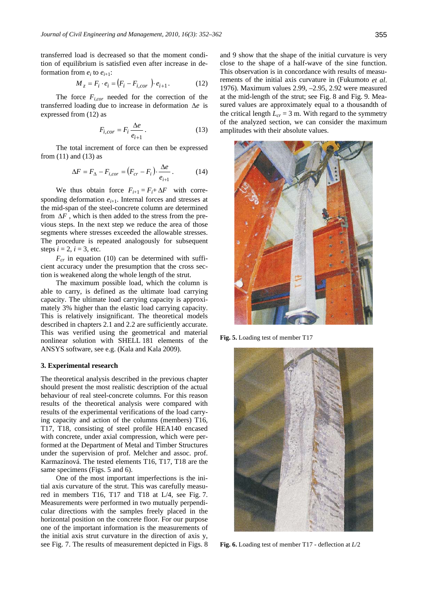transferred load is decreased so that the moment condition of equilibrium is satisfied even after increase in deformation from  $e_i$  to  $e_{i+1}$ :

$$
M_z = F_i \cdot e_i = (F_i - F_{i,cor}) \cdot e_{i+1}.
$$
 (12)

The force  $F_{i,cor}$  needed for the correction of the transferred loading due to increase in deformation Δ*e* is expressed from (12) as

$$
F_{i,cor} = F_i \frac{\Delta e}{e_{i+1}}.
$$
 (13)

The total increment of force can then be expressed from  $(11)$  and  $(13)$  as

$$
\Delta F = F_{\Delta} - F_{i,cor} = (F_{cr} - F_i) \cdot \frac{\Delta e}{e_{i+1}}.
$$
 (14)

We thus obtain force  $F_{i+1} = F_i + \Delta F$  with corresponding deformation *ei*+1. Internal forces and stresses at the mid-span of the steel-concrete column are determined from  $\Delta F$ , which is then added to the stress from the previous steps. In the next step we reduce the area of those segments where stresses exceeded the allowable stresses. The procedure is repeated analogously for subsequent steps  $i = 2$ ,  $i = 3$ , etc.

 $F_{cr}$  in equation (10) can be determined with sufficient accuracy under the presumption that the cross section is weakened along the whole length of the strut.

The maximum possible load, which the column is able to carry, is defined as the ultimate load carrying capacity. The ultimate load carrying capacity is approximately 3% higher than the elastic load carrying capacity. This is relatively insignificant. The theoretical models described in chapters 2.1 and 2.2 are sufficiently accurate. This was verified using the geometrical and material nonlinear solution with SHELL 181 elements of the ANSYS software, see e.g. (Kala and Kala 2009).

# **3. Experimental research**

The theoretical analysis described in the previous chapter should present the most realistic description of the actual behaviour of real steel-concrete columns. For this reason results of the theoretical analysis were compared with results of the experimental verifications of the load carrying capacity and action of the columns (members) T16, T17, T18, consisting of steel profile HEA140 encased with concrete, under axial compression, which were performed at the Department of Metal and Timber Structures under the supervision of prof. Melcher and assoc. prof. Karmazínová. The tested elements T16, T17, T18 are the same specimens (Figs. 5 and 6).

One of the most important imperfections is the initial axis curvature of the strut. This was carefully measured in members T16, T17 and T18 at L/4, see Fig. 7. Measurements were performed in two mutually perpendicular directions with the samples freely placed in the horizontal position on the concrete floor. For our purpose one of the important information is the measurements of the initial axis strut curvature in the direction of axis y, see Fig. 7. The results of measurement depicted in Figs. 8 and 9 show that the shape of the initial curvature is very close to the shape of a half-wave of the sine function. This observation is in concordance with results of measurements of the initial axis curvature in (Fukumoto *et al*. 1976). Maximum values 2.99, –2.95, 2.92 were measured at the mid-length of the strut; see Fig. 8 and Fig. 9. Measured values are approximately equal to a thousandth of the critical length  $L_{cr} = 3$  m. With regard to the symmetry of the analyzed section, we can consider the maximum amplitudes with their absolute values.



**Fig. 5.** Loading test of member T17



**Fig. 6.** Loading test of member T17 - deflection at *L*/2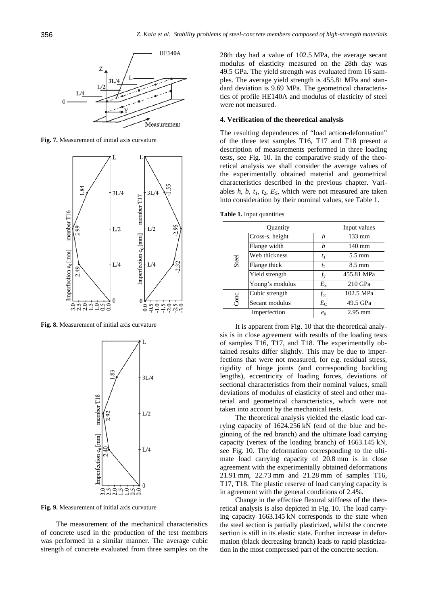

**Fig. 7.** Measurement of initial axis curvature



**Fig. 8.** Measurement of initial axis curvature



**Fig. 9.** Measurement of initial axis curvature

The measurement of the mechanical characteristics of concrete used in the production of the test members was performed in a similar manner. The average cubic strength of concrete evaluated from three samples on the 28th day had a value of 102.5 MPa, the average secant modulus of elasticity measured on the 28th day was 49.5 GPa. The yield strength was evaluated from 16 samples. The average yield strength is 455.81 MPa and standard deviation is 9.69 MPa. The geometrical characteristics of profile HE140A and modulus of elasticity of steel were not measured.

#### **4. Verification of the theoretical analysis**

The resulting dependences of "load action-deformation" of the three test samples T16, T17 and T18 present a description of measurements performed in three loading tests, see Fig. 10. In the comparative study of the theoretical analysis we shall consider the average values of the experimentally obtained material and geometrical characteristics described in the previous chapter. Variables  $h$ ,  $b$ ,  $t_1$ ,  $t_2$ ,  $E_s$ , which were not measured are taken into consideration by their nominal values, see Table 1.

**Table 1.** Input quantities

| Quantity     |                 |              | Input values     |
|--------------|-----------------|--------------|------------------|
| Steel        | Cross-s. height | h            | $133 \text{ mm}$ |
|              | Flange width    | b            | $140 \text{ mm}$ |
|              | Web thickness   | $t_1$        | $5.5 \text{ mm}$ |
|              | Flange thick    | $t_2$        | $8.5 \text{ mm}$ |
|              | Yield strength  | $f_{y}$      | 455.81 MPa       |
|              | Young's modulus | $E_{\rm S}$  | 210 GPa          |
| Conc.        | Cubic strength  | $f_{\rm cc}$ | 102.5 MPa        |
|              | Secant modulus  | $E_{\rm C}$  | 49.5 GPa         |
| Imperfection |                 | $e_0$        | $2.95$ mm        |

It is apparent from Fig. 10 that the theoretical analysis is in close agreement with results of the loading tests of samples T16, T17, and T18. The experimentally obtained results differ slightly. This may be due to imperfections that were not measured, for e.g. residual stress, rigidity of hinge joints (and corresponding buckling lengths), eccentricity of loading forces, deviations of sectional characteristics from their nominal values, small deviations of modulus of elasticity of steel and other material and geometrical characteristics, which were not taken into account by the mechanical tests.

The theoretical analysis yielded the elastic load carrying capacity of 1624.256 kN (end of the blue and beginning of the red branch) and the ultimate load carrying capacity (vertex of the loading branch) of 1663.145 kN, see Fig. 10. The deformation corresponding to the ultimate load carrying capacity of 20.8 mm is in close agreement with the experimentally obtained deformations 21.91 mm, 22.73 mm and 21.28 mm of samples T16, T17, T18. The plastic reserve of load carrying capacity is in agreement with the general conditions of 2.4%.

Change in the effective flexural stiffness of the theoretical analysis is also depicted in Fig. 10. The load carrying capacity 1663.145 kN corresponds to the state when the steel section is partially plasticized, whilst the concrete section is still in its elastic state. Further increase in deformation (black decreasing branch) leads to rapid plasticization in the most compressed part of the concrete section.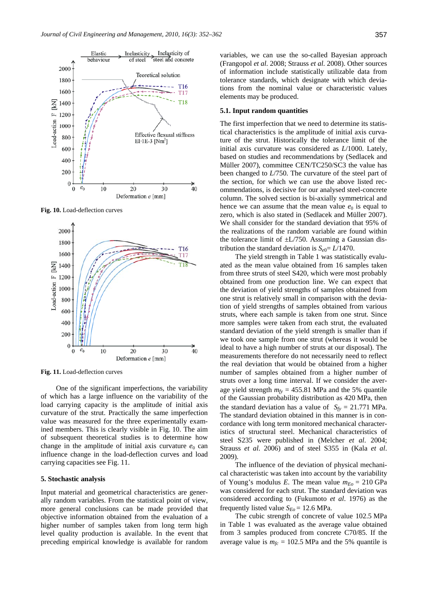

**Fig. 10.** Load-deflection curves



**Fig. 11.** Load-deflection curves

One of the significant imperfections, the variability of which has a large influence on the variability of the load carrying capacity is the amplitude of initial axis curvature of the strut. Practically the same imperfection value was measured for the three experimentally examined members. This is clearly visible in Fig. 10. The aim of subsequent theoretical studies is to determine how change in the amplitude of initial axis curvature  $e_0$  can influence change in the load-deflection curves and load carrying capacities see Fig. 11.

#### **5. Stochastic analysis**

Input material and geometrical characteristics are generally random variables. From the statistical point of view, more general conclusions can be made provided that objective information obtained from the evaluation of a higher number of samples taken from long term high level quality production is available. In the event that preceding empirical knowledge is available for random variables, we can use the so-called Bayesian approach (Frangopol *et al*. 2008; Strauss *et al*. 2008). Other sources of information include statistically utilizable data from tolerance standards, which designate with which deviations from the nominal value or characteristic values elements may be produced.

# **5.1. Input random quantities**

The first imperfection that we need to determine its statistical characteristics is the amplitude of initial axis curvature of the strut. Historically the tolerance limit of the initial axis curvature was considered as *L*/1000. Lately, based on studies and recommendations by (Sedlacek and Müller 2007), committee CEN/TC250/SC3 the value has been changed to *L*/750. The curvature of the steel part of the section, for which we can use the above listed recommendations, is decisive for our analysed steel-concrete column. The solved section is bi-axially symmetrical and hence we can assume that the mean value  $e_0$  is equal to zero, which is also stated in (Sedlacek and Müller 2007). We shall consider for the standard deviation that 95% of the realizations of the random variable are found within the tolerance limit of  $\pm$ L/750. Assuming a Gaussian distribution the standard deviation is  $S_{e0} = L/1470$ .

The yield strength in Table 1 was statistically evaluated as the mean value obtained from 16 samples taken from three struts of steel S420, which were most probably obtained from one production line. We can expect that the deviation of yield strengths of samples obtained from one strut is relatively small in comparison with the deviation of yield strengths of samples obtained from various struts, where each sample is taken from one strut. Since more samples were taken from each strut, the evaluated standard deviation of the yield strength is smaller than if we took one sample from one strut (whereas it would be ideal to have a high number of struts at our disposal). The measurements therefore do not necessarily need to reflect the real deviation that would be obtained from a higher number of samples obtained from a higher number of struts over a long time interval. If we consider the average yield strength  $m_f = 455.81$  MPa and the 5% quantile of the Gaussian probability distribution as 420 MPa, then the standard deviation has a value of  $S_{fy} = 21.771 \text{ MPa.}$ The standard deviation obtained in this manner is in concordance with long term monitored mechanical characteristics of structural steel. Mechanical characteristics of steel S235 were published in (Melcher *et al*. 2004; Strauss *et al*. 2006) and of steel S355 in (Kala *et al*. 2009).

The influence of the deviation of physical mechanical characteristic was taken into account by the variability of Young's modulus *E*. The mean value  $m_{E0} = 210 \text{ GPa}$ was considered for each strut. The standard deviation was considered according to (Fukumoto *et al*. 1976) as the frequently listed value  $S_{E0} = 12.6 \text{ MPa}.$ 

The cubic strength of concrete of value 102.5 MPa in Table 1 was evaluated as the average value obtained from 3 samples produced from concrete C70/85. If the average value is  $m_{fc} = 102.5$  MPa and the 5% quantile is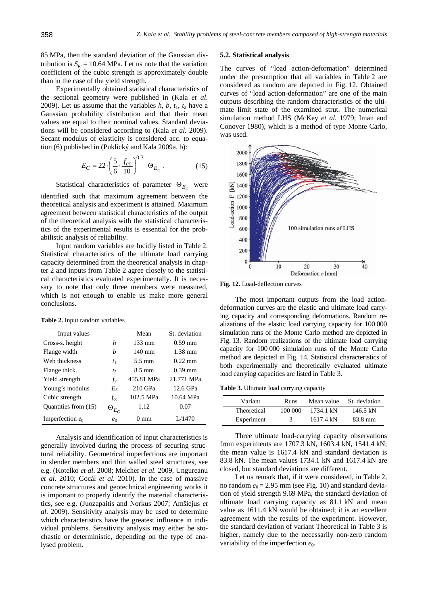85 MPa, then the standard deviation of the Gaussian distribution is  $S_f = 10.64$  MPa. Let us note that the variation coefficient of the cubic strength is approximately double than in the case of the yield strength.

Experimentally obtained statistical characteristics of the sectional geometry were published in (Kala *et al*. 2009). Let us assume that the variables  $h$ ,  $b$ ,  $t_1$ ,  $t_2$  have a Gaussian probability distribution and that their mean values are equal to their nominal values. Standard deviations will be considered according to (Kala *et al*. 2009). Secant modulus of elasticity is considered acc. to equation (6) published in (Puklický and Kala 2009a, b):

$$
E_C = 22 \cdot \left(\frac{5}{6} \cdot \frac{f_{cc}}{10}\right)^{0.3} \cdot \Theta_{E_C} \,. \tag{15}
$$

Statistical characteristics of parameter  $\Theta_{E_C}$  were

identified such that maximum agreement between the theoretical analysis and experiment is attained. Maximum agreement between statistical characteristics of the output of the theoretical analysis with the statistical characteristics of the experimental results is essential for the probabilistic analysis of reliability.

Input random variables are lucidly listed in Table 2. Statistical characteristics of the ultimate load carrying capacity determined from the theoretical analysis in chapter 2 and inputs from Table 2 agree closely to the statistical characteristics evaluated experimentally. It is necessary to note that only three members were measured, which is not enough to enable us make more general conclusions.

**Table 2.** Input random variables

| Input values         |                | Mean             | St. deviation |
|----------------------|----------------|------------------|---------------|
| Cross-s. height      | h              | $133 \text{ mm}$ | $0.59$ mm     |
| Flange width         | h              | $140 \text{ mm}$ | $1.38$ mm     |
| Web thickness        | t <sub>1</sub> | $5.5 \text{ mm}$ | $0.22$ mm     |
| Flange thick.        | $t_2$          | $8.5 \text{ mm}$ | $0.39$ mm     |
| Yield strength       | $f_{y}$        | 455.81 MPa       | 21.771 MPa    |
| Young's modulus      | $E_S$          | 210 GPa          | 12.6 GPa      |
| Cubic strength       | $f_{cc}$       | 102.5 MPa        | 10.64 MPa     |
| Quantities from (15) | $\Theta_{E_C}$ | 1.12             | 0.07          |
| Imperfection $e_0$   | $e_0$          | $0 \text{ mm}$   | L/1470        |

Analysis and identification of input characteristics is generally involved during the process of securing structural reliability. Geometrical imperfections are important in slender members and thin walled steel structures, see e.g. (Kotelko *et al*. 2008; Melcher *et al*. 2009, Ungureanu *et al*. 2010; Gocál *et al*. 2010). In the case of massive concrete structures and geotechnical engineering works it is important to properly identify the material characteristics, see e.g. (Juozapaitis and Norkus 2007; Amšiejus *et al*. 2009). Sensitivity analysis may be used to determine which characteristics have the greatest influence in individual problems. Sensitivity analysis may either be stochastic or deterministic, depending on the type of analysed problem.

# **5.2. Statistical analysis**

The curves of "load action-deformation" determined under the presumption that all variables in Table 2 are considered as random are depicted in Fig. 12. Obtained curves of "load action-deformation" are one of the main outputs describing the random characteristics of the ultimate limit state of the examined strut. The numerical simulation method LHS (McKey *et al*. 1979; Iman and Conover 1980), which is a method of type Monte Carlo, was used.



**Fig. 12.** Load-deflection curves

The most important outputs from the load actiondeformation curves are the elastic and ultimate load carrying capacity and corresponding deformations. Random realizations of the elastic load carrying capacity for 100 000 simulation runs of the Monte Carlo method are depicted in Fig. 13. Random realizations of the ultimate load carrying capacity for 100 000 simulation runs of the Monte Carlo method are depicted in Fig. 14. Statistical characteristics of both experimentally and theoretically evaluated ultimate load carrying capacities are listed in Table 3.

**Table 3.** Ultimate load carrying capacity

| Variant     | Runs    | Mean value | St. deviation |
|-------------|---------|------------|---------------|
| Theoretical | 100.000 | 1734.1 kN  | 146.5 kN      |
| Experiment  | 3       | 1617.4 kN  | 83.8 mm       |

Three ultimate load-carrying capacity observations from experiments are 1707.3 kN, 1603.4 kN, 1541.4 kN; the mean value is 1617.4 kN and standard deviation is 83.8 kN. The mean values 1734.1 kN and 1617.4 kN are closed, but standard deviations are different.

Let us remark that, if it were considered, in Table 2, no random  $e_0$  = 2.95 mm (see Fig. 10) and standard deviation of yield strength 9.69 MPa, the standard deviation of ultimate load carrying capacity as 81.1 kN and mean value as 1611.4 kN would be obtained; it is an excellent agreement with the results of the experiment. However, the standard deviation of variant Theoretical in Table 3 is higher, namely due to the necessarily non-zero random variability of the imperfection  $e_0$ .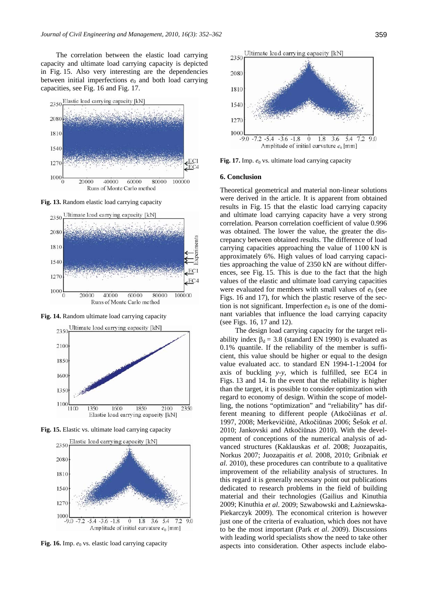The correlation between the elastic load carrying capacity and ultimate load carrying capacity is depicted in Fig. 15. Also very interesting are the dependencies between initial imperfections  $e_0$  and both load carrying capacities, see Fig. 16 and Fig. 17.



**Fig. 13.** Random elastic load carrying capacity



**Fig. 14.** Random ultimate load carrying capacity



**Fig. 15.** Elastic vs. ultimate load carrying capacity



**Fig. 16.** Imp.  $e_0$  vs. elastic load carrying capacity



Fig. 17. Imp.  $e_0$  vs. ultimate load carrying capacity

#### **6. Conclusion**

Theoretical geometrical and material non-linear solutions were derived in the article. It is apparent from obtained results in Fig. 15 that the elastic load carrying capacity and ultimate load carrying capacity have a very strong correlation. Pearson correlation coefficient of value 0.996 was obtained. The lower the value, the greater the discrepancy between obtained results. The difference of load carrying capacities approaching the value of 1100 kN is approximately 6%. High values of load carrying capacities approaching the value of 2350 kN are without differences, see Fig. 15. This is due to the fact that the high values of the elastic and ultimate load carrying capacities were evaluated for members with small values of  $e_0$  (see Figs. 16 and 17), for which the plastic reserve of the section is not significant. Imperfection  $e_0$  is one of the dominant variables that influence the load carrying capacity (see Figs. 16, 17 and 12).

The design load carrying capacity for the target reliability index  $\beta_d = 3.8$  (standard EN 1990) is evaluated as 0.1% quantile. If the reliability of the member is sufficient, this value should be higher or equal to the design value evaluated acc. to standard EN 1994-1-1:2004 for axis of buckling *y*-*y*, which is fulfilled, see EC4 in Figs. 13 and 14. In the event that the reliability is higher than the target, it is possible to consider optimization with regard to economy of design. Within the scope of modelling, the notions "optimization" and "reliability" has different meaning to different people (Atkočiūnas *et al*. 1997, 2008; Merkevičiūtė, Atkočiūnas 2006; Šešok *et al*. 2010; Jankovski and Atkočiūnas 2010). With the development of conceptions of the numerical analysis of advanced structures (Kaklauskas *et al*. 2008; Juozapaitis, Norkus 2007; Juozapaitis *et al.* 2008, 2010; Gribniak *et al*. 2010), these procedures can contribute to a qualitative improvement of the reliability analysis of structures. In this regard it is generally necessary point out publications dedicated to research problems in the field of building material and their technologies (Gailius and Kinuthia 2009; Kinuthia *et al*. 2009; Szwabowski and Łaźniewska-Piekarczyk 2009). The economical criterion is however just one of the criteria of evaluation, which does not have to be the most important (Park *et al*. 2009). Discussions with leading world specialists show the need to take other aspects into consideration. Other aspects include elabo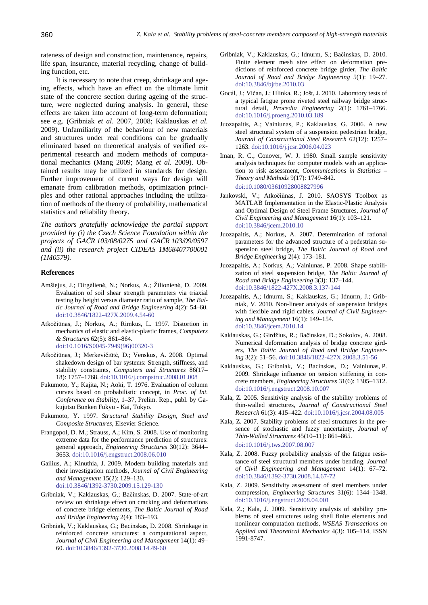rateness of design and construction, maintenance, repairs, life span, insurance, material recycling, change of building function, etc.

It is necessary to note that creep, shrinkage and ageing effects, which have an effect on the ultimate limit state of the concrete section during ageing of the structure, were neglected during analysis. In general, these effects are taken into account of long-term deformation; see e.g. (Gribniak *et al*. 2007, 2008; Kaklauskas *et al*. 2009). Unfamiliarity of the behaviour of new materials and structures under real conditions can be gradually eliminated based on theoretical analysis of verified experimental research and modern methods of computational mechanics (Mang 2009; Mang *et al*. 2009). Obtained results may be utilized in standards for design. Further improvement of current ways for design will emanate from calibration methods, optimization principles and other rational approaches including the utilization of methods of the theory of probability, mathematical statistics and reliability theory.

*The authors gratefully acknowledge the partial support provided by (i) the Czech Science Foundation within the projects of GAČR 103/08/0275 and GAČR 103/09/0597 and (ii) the research project CIDEAS 1M68407700001 (1M0579).* 

# **References**

- Amšiejus, J.; Dirgėlienė, N.; Norkus, A.; Žilionienė, D. 2009. Evaluation of soil shear strength parameters via triaxial testing by height versus diameter ratio of sample, *The Baltic Journal of Road and Bridge Engineering* 4(2): 54–60. [doi:10.3846/1822-427X.2009.4.54-60](http://dx.doi.org/10.3846/1822-427X.2009.4.54-60)
- Atkočiūnas, J.; Norkus, A.; Rimkus, L. 1997. Distortion in mechanics of elastic and elastic-plastic frames, *Computers & Structures* 62(5): 861–864. [doi:10.1016/S0045-7949\(96\)00320-3](http://dx.doi.org/10.1016/S0045-7949(96)00320-3)
- Atkočiūnas, J.; Merkevičiūtė, D.; Venskus, A. 2008. Optimal shakedown design of bar systems: Strength, stiffness, and stability constraints, *Computers and Structures* 86(17– 18): 1757–1768. [doi:10.1016/j.compstruc.2008.01.008](http://dx.doi.org/10.1016/j.compstruc.2008.01.008)
- Fukumoto, Y.; Kajita, N.; Aoki, T. 1976. Evaluation of column curves based on probabilistic concept, in *Proc. of Int. Conference on Stability*, 1–37, Prelim. Rep., publ. by Gakujutsu Bunken Fukyu - Kai, Tokyo.
- Fukumoto, Y. 1997. *Structural Stability Design, Steel and Composite Structures*, Elsevier Science.
- Frangopol, D. M.; Strauss, A.; Kim, S. 2008. Use of monitoring extreme data for the performance prediction of structures: general approach, *Engineering Structures* 30(12): 3644– 3653. [doi:10.1016/j.engstruct.2008.06.010](http://dx.doi.org/10.1016/j.engstruct.2008.06.010)
- Gailius, A.; Kinuthia, J. 2009. Modern building materials and their investigation methods, *Journal of Civil Engineering and Management* 15(2): 129–130. [doi:10.3846/1392-3730.2009.15.129-130](http://dx.doi.org/10.3846/1392-3730.2009.15.129-130)
- Gribniak, V.; Kaklauskas, G.; Bačinskas, D. 2007. State-of-art review on shrinkage effect on cracking and deformations of concrete bridge elements, *The Baltic Journal of Road and Bridge Engineering* 2(4): 183–193.
- Gribniak, V.; Kaklauskas, G.; Bacinskas, D. 2008. Shrinkage in reinforced concrete structures: a computational aspect, *Journal of Civil Engineering and Management* 14(1): 49– 60. [doi:10.3846/1392-3730.2008.14.49-60](http://dx.doi.org/10.3846/1392-3730.2008.14.49-60)
- Gribniak, V.; Kaklauskas, G.; Idnurm, S.; Bačinskas, D. 2010. Finite element mesh size effect on deformation predictions of reinforced concrete bridge girder, *The Baltic Journal of Road and Bridge Engineering* 5(1): 19–27. [doi:10.3846/bjrbe.2010.03](http://dx.doi.org/10.3846/bjrbe.2010.03)
- Gocál, J.; Vičan, J.; Hlinka, R.; Jošt, J. 2010. Laboratory tests of a typical fatigue prone riveted steel railway bridge structural detail, *Procedia Engineering* 2(1): 1761–1766. [doi:10.1016/j.proeng.2010.03.189](http://dx.doi.org/10.1016/j.proeng.2010.03.189)
- Juozapaitis, A.; Vainiunas, P.; Kaklauskas, G. 2006. A new steel structural system of a suspension pedestrian bridge, *Journal of Constructional Steel Research* 62(12): 1257– 1263. [doi:10.1016/j.jcsr.2006.04.023](http://dx.doi.org/10.1016/j.jcsr.2006.04.023)
- Iman, R. C.; Conover, W. J. 1980. Small sample sensitivity analysis techniques for computer models with an application to risk assessment, *Communications in Statistics – Theory and Methods* 9(17): 1749–842. [doi:10.1080/03610928008827996](http://dx.doi.org/10.1080/03610928008827996)
- Jankovski, V.; Atkočiūnas, J. 2010. SAOSYS Toolbox as MATLAB Implementation in the Elastic-Plastic Analysis and Optimal Design of Steel Frame Structures, *Journal of Civil Engineering and Management* 16(1): 103–121. [doi:10.3846/jcem.2010.10](http://dx.doi.org/10.3846/jcem.2010.10)
- Juozapaitis, A.; Norkus, A. 2007. Determination of rational parameters for the advanced structure of a pedestrian suspension steel bridge, *The Baltic Journal of Road and Bridge Engineering* 2(4): 173–181.
- Juozapaitis, A.; Norkus, A.; Vainiunas, P. 2008. Shape stabilization of steel suspension bridge, *The Baltic Journal of Road and Bridge Engineering* 3(3): 137–144. [doi:10.3846/1822-427X.2008.3.137-144](http://dx.doi.org/10.3846/1822-427X.2008.3.137-144)
- Juozapaitis, A.; Idnurm, S.; Kaklauskas, G.; Idnurm, J.; Gribniak, V. 2010. Non-linear analysis of suspension bridges with flexible and rigid cables, *Journal of Civil Engineering and Management* 16(1): 149–154. [doi:10.3846/jcem.2010.14](http://dx.doi.org/10.3846/jcem.2010.14)
- Kaklauskas, G.; Girdžius, R.; Bačinskas, D.; Sokolov, A. 2008. Numerical deformation analysis of bridge concrete girders, *The Baltic Journal of Road and Bridge Engineering* 3(2): 51–56. [doi:10.3846/1822-427X.2008.3.51-56](http://dx.doi.org/10.3846/1822-427X.2008.3.51-56)
- Kaklauskas, G.; Gribniak, V.; Bacinskas, D.; Vainiunas, P. 2009. Shrinkage influence on tension stiffening in concrete members, *Engineering Structures* 31(6): 1305–1312. [doi:10.1016/j.engstruct.2008.10.007](http://dx.doi.org/10.1016/j.engstruct.2008.10.007)
- Kala, Z. 2005. Sensitivity analysis of the stability problems of thin-walled structures, *Journal of Constructional Steel Research* 61(3): 415–422. [doi:10.1016/j.jcsr.2004.08.005](http://dx.doi.org/10.1016/j.jcsr.2004.08.005)
- Kala, Z. 2007. Stability problems of steel structures in the presence of stochastic and fuzzy uncertainty, *Journal of Thin-Walled Structures* 45(10–11): 861–865. [doi:10.1016/j.tws.2007.08.007](http://dx.doi.org/10.1016/j.tws.2007.08.007)
- Kala, Z. 2008. Fuzzy probability analysis of the fatigue resistance of steel structural members under bending, *Journal of Civil Engineering and Management* 14(1): 67–72. [doi:10.3846/1392-3730.2008.14.67-72](http://dx.doi.org/10.3846/1392-3730.2008.14.67-72)
- Kala, Z. 2009. Sensitivity assessment of steel members under compression, *Engineering Structures* 31(6): 1344–1348. [doi:10.1016/j.engstruct.2008.04.001](http://dx.doi.org/10.1016/j.engstruct.2008.04.001)
- Kala, Z.; Kala, J. 2009. Sensitivity analysis of stability problems of steel structures using shell finite elements and nonlinear computation methods, *WSEAS Transactions on Applied and Theoretical Mechanics* 4(3): 105–114, ISSN 1991-8747.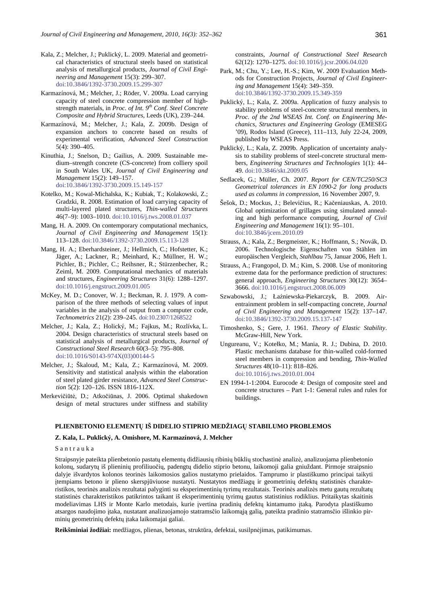- Kala, Z.; Melcher, J.; Puklický, L. 2009. Material and geometrical characteristics of structural steels based on statistical analysis of metallurgical products, *Journal of Civil Engineering and Management* 15(3): 299–307. [doi:10.3846/1392-3730.2009.15.299-307](http://dx.doi.org/10.3846/1392-3730.2009.15.299-307)
- Karmazínová, M.; Melcher, J.; Röder, V. 2009a. Load carrying capacity of steel concrete compression member of highstrength materials, in *Proc. of Int. 9th Conf. Steel Concrete Composite and Hybrid Structures*, Leeds (UK), 239–244.
- Karmazínová, M.; Melcher, J.; Kala, Z. 2009b. Design of expansion anchors to concrete based on results of experimental verification, *Advanced Steel Construction*  5(4): 390–405.
- Kinuthia, J.; Snelson, D.; Gailius, A. 2009. Sustainable medium–strength concrete (CS-concrete) from colliery spoil in South Wales UK, *Journal of Civil Engineering and Management* 15(2): 149–157. [doi:10.3846/1392-3730.2009.15.149-157](http://dx.doi.org/10.3846/1392-3730.2009.15.149-157)
- Kotelko, M.; Kowal-Michalska, K.; Kubiak, T.; Kolakowski, Z.; Gradzki, R. 2008. Estimation of load carrying capacity of multi-layered plated structures, *Thin-walled Structures* 46(7–9): 1003–1010. [doi:10.1016/j.tws.2008.01.037](http://dx.doi.org/10.1016/j.tws.2008.01.037)
- Mang, H. A. 2009. On contemporary computational mechanics, *Journal of Civil Engineering and Management* 15(1): 113–128. [doi:10.3846/1392-3730.2009.15.113-128](http://dx.doi.org/10.3846/1392-3730.2009.15.113-128)
- Mang, H. A.; Eberhardsteiner, J.; Hellmich, C.; Hofstetter, K.; Jäger, A.; Lackner, R.; Meinhard, K.; Müllner, H. W.; Pichler, B.; Pichler, C.; Reihsner, R.; Stürzenbecher, R.; Zeiml, M. 2009. Computational mechanics of materials and structures, *Engineering Structures* 31(6): 1288–1297. [doi:10.1016/j.engstruct.2009.01.005](http://dx.doi.org/10.1016/j.engstruct.2009.01.005)
- McKey, M. D.; Conover, W. J.; Beckman, R. J. 1979. A comparison of the three methods of selecting values of input variables in the analysis of output from a computer code, *Technometrics* 21(2): 239–245. [doi:10.2307/1268522](http://dx.doi.org/10.2307/1268522)
- Melcher, J.; Kala, Z.; Holický, M.; Fajkus, M.; Rozlívka, L. 2004. Design characteristics of structural steels based on statistical analysis of metallurgical products, *Journal of Constructional Steel Research* 60(3–5): 795–808. [doi:10.1016/S0143-974X\(03\)00144-5](http://dx.doi.org/10.1016/S0143-974X(03)00144-5)
- Melcher, J.; Škaloud, M.; Kala, Z.; Karmazínová, M. 2009. Sensitivity and statistical analysis within the elaboration of steel plated girder resistance, *Advanced Steel Construction* 5(2): 120–126. ISSN 1816-112X.
- Merkevičiūtė, D.; Atkočiūnas, J. 2006. Optimal shakedown design of metal structures under stiffness and stability

constraints, *Journal of Constructional Steel Research* 62(12): 1270–1275. [doi:10.1016/j.jcsr.2006.04.020](http://dx.doi.org/10.1016/j.jcsr.2006.04.020)

- Park, M.; Chu, Y.; Lee, H.-S.; Kim, W. 2009 Evaluation Methods for Construction Projects, *Journal of Civil Engineering and Management* 15(4): 349–359. [doi:10.3846/1392-3730.2009.15.349-359](http://dx.doi.org/10.3846/1392-3730.2009.15.349-359)
- Puklický, L.; Kala, Z. 2009a. Application of fuzzy analysis to stability problems of steel-concrete structural members, in *Proc. of the 2nd WSEAS Int. Conf. on Engineering Mechanics, Structures and Engineering Geology* (EMESEG '09), Rodos Island (Greece), 111–113, July 22-24, 2009, published by WSEAS Press.
- Puklický, L.; Kala, Z. 2009b. Application of uncertainty analysis to stability problems of steel-concrete structural members, *Engineering Structures and Technologies* 1(1): 44– 49. [doi:10.3846/skt.2009.05](http://dx.doi.org/10.3846/skt.2009.05)
- Sedlacek, G.; Müller, Ch. 2007. *Report for CEN/TC250/SC3 Geometrical tolerances in EN 1090-2 for long products used as columns in compression*, 16 November 2007, 9.
- Šešok, D.; Mockus, J.; Belevičius, R.; Kačeniauskas, A. 2010. Global optimization of grillages using simulated annealing and high performance computing, *Journal of Civil Engineering and Management* 16(1): 95–101. [doi:10.3846/jcem.2010.09](http://dx.doi.org/10.3846/jcem.2010.09)
- Strauss, A.; Kala, Z.; Bergmeister, K.; Hoffmann, S.; Novák, D. 2006. Technologische Eigenschaften von Stählen im europäischen Vergleich, *Stahlbau* 75, Januar 2006, Heft 1.
- Strauss, A.; Frangopol, D. M.; Kim, S. 2008. Use of monitoring extreme data for the performance prediction of structures: general approach, *Engineering Structures* 30(12): 3654– 3666. [doi:10.1016/j.engstruct.2008.06.009](http://dx.doi.org/10.1016/j.engstruct.2008.06.009)
- Szwabowski, J.; Łaźniewska-Piekarczyk, B. 2009. Airentrainment problem in self-compacting concrete, *Journal of Civil Engineering and Management* 15(2): 137–147. [doi:10.3846/1392-3730.2009.15.137-147](http://dx.doi.org/10.3846/1392-3730.2009.15.137-147)
- Timoshenko, S.; Gere, J. 1961. *Theory of Elastic Stability*. McGraw-Hill, New York.
- Ungureanu, V.; Kotełko, M.; Mania, R. J.; Dubina, D. 2010. Plastic mechanisms database for thin-walled cold-formed steel members in compression and bending, *Thin-Walled Structures* 48(10–11): 818–826. [doi:10.1016/j.tws.2010.01.004](http://dx.doi.org/10.1016/j.tws.2010.01.004)
- EN 1994-1-1:2004. Eurocode 4: Design of composite steel and concrete structures – Part 1-1: General rules and rules for buildings.

# **PLIENBETONIO ELEMENTŲ IŠ DIDELIO STIPRIO MEDŽIAGŲ STABILUMO PROBLEMOS**

**Z. Kala, L. Puklický, A. Omishore, M. Karmazínová, J. Melcher** 

S a n t r a u k a

Straipsnyje pateikta plienbetonio pastatų elementų didžiausių ribinių būklių stochastinė analizė, analizuojama plienbetonio kolonų, sudarytų iš plieninių profiliuočių, padengtų didelio stiprio betonu, laikomoji galia gniuždant. Pirmoje straipsnio dalyje išvardytos kolonos teorinės laikomosios galios nustatymo prielaidos. Tamprumo ir plastiškumo principai taikyti įtempiams betono ir plieno skerspjūviuose nustatyti. Nustatytos medžiagų ir geometrinių defektų statistinės charakteristikos, teorinės analizės rezultatai palyginti su eksperimentinių tyrimų rezultatais. Teorinės analizės metu gautų rezultatų statistinės charakteristikos patikrintos taikant iš eksperimentinių tyrimų gautus statistinius rodiklius. Pritaikytas skaitinis modeliavimas LHS ir Monte Karlo metodais, kurie įvertina pradinių defektų kintamumo įtaką. Parodyta plastiškumo atsargos naudojimo įtaka, nustatant analizuojamojo statramsčio laikomąją galią, pateikta pradinio statramsčio išlinkio pirminių geometrinių defektų įtaka laikomajai galiai.

**Reikšminiai žodžiai:** medžiagos, plienas, betonas, struktūra, defektai, susilpnėjimas, patikimumas.